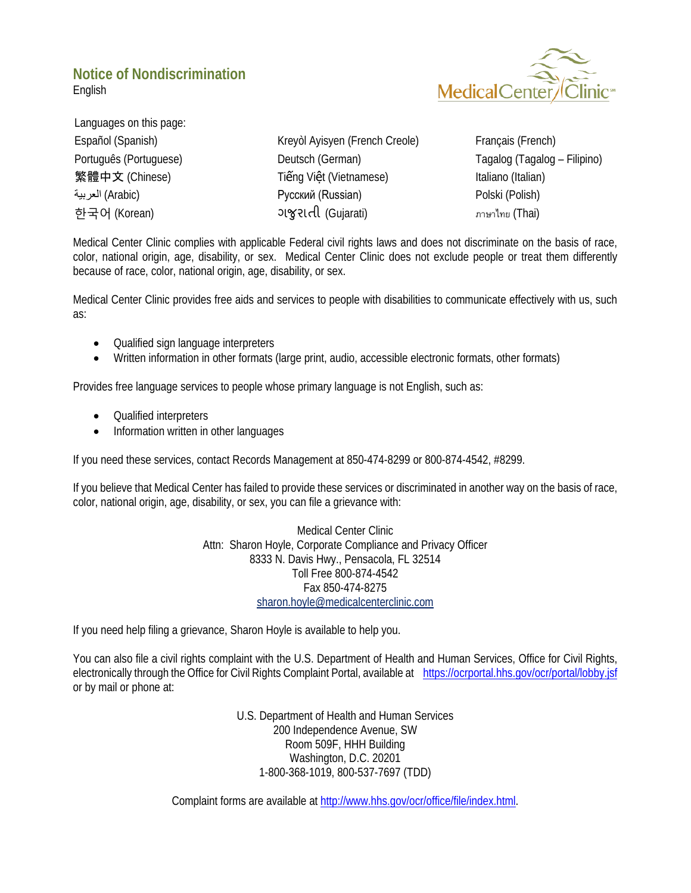## **Notice of Nondiscrimination**

**MedicalCente** 

English

Languages on this page:

[Español \(Spanish\)](#page-1-0) [Kreyòl Ayisyen \(French Creole\)](#page-2-0) [Français \(French\)](#page-3-0) [Português \(Portuguese\)](#page-4-0) [Deutsch \(German\)](#page-5-0) [Tagalog \(Tagalog –](#page-6-0) Filipino) **[繁體中文](#page-7-0) (Chinese) Tiếng Việ[t \(Vietnamese\)](#page-8-0)** [Italiano \(Italian\)](#page-9-0) العربیة) [Arabic\)](#page-10-0) [Русский \(Russian\)](#page-11-0) [Polski \(Polish\)](#page-12-0) 한국어 [\(Korean\)](#page-13-0) [ગ�ુરાતી](#page-14-0) (Gujarati) [ภาษาไทย](#page-15-0) (Thai)

Medical Center Clinic complies with applicable Federal civil rights laws and does not discriminate on the basis of race, color, national origin, age, disability, or sex. Medical Center Clinic does not exclude people or treat them differently because of race, color, national origin, age, disability, or sex.

Medical Center Clinic provides free aids and services to people with disabilities to communicate effectively with us, such as:

- Qualified sign language interpreters
- Written information in other formats (large print, audio, accessible electronic formats, other formats)

Provides free language services to people whose primary language is not English, such as:

- Qualified interpreters
- Information written in other languages

If you need these services, contact Records Management at 850-474-8299 or 800-874-4542, #8299.

If you believe that Medical Center has failed to provide these services or discriminated in another way on the basis of race, color, national origin, age, disability, or sex, you can file a grievance with:

> Medical Center Clinic Attn: Sharon Hoyle, Corporate Compliance and Privacy Officer 8333 N. Davis Hwy., Pensacola, FL 32514 Toll Free 800-874-4542 Fax 850-474-8275 [sharon.hoyle@medicalcenterclinic.com](mailto:sharon.hoyle@medicalcenterclinic.com)

If you need help filing a grievance, Sharon Hoyle is available to help you.

You can also file a civil rights complaint with the U.S. Department of Health and Human Services, Office for Civil Rights, electronically through the Office for Civil Rights Complaint Portal, available at <https://ocrportal.hhs.gov/ocr/portal/lobby.jsf> or by mail or phone at:

> U.S. Department of Health and Human Services 200 Independence Avenue, SW Room 509F, HHH Building Washington, D.C. 20201 1-800-368-1019, 800-537-7697 (TDD)

Complaint forms are available at [http://www.hhs.gov/ocr/office/file/index.html.](http://www.hhs.gov/ocr/office/file/index.html)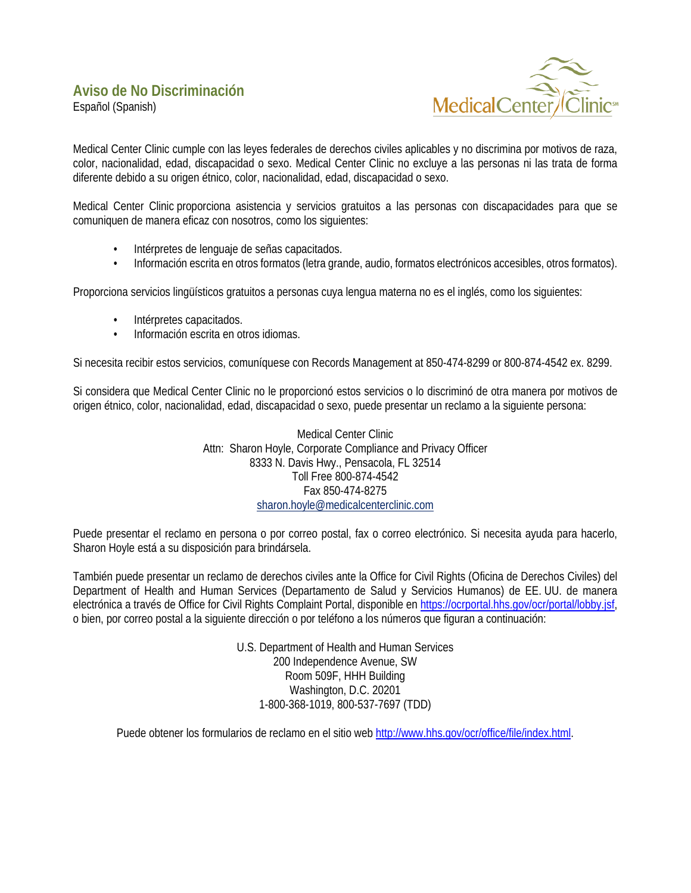<span id="page-1-0"></span>Español (Spanish)



Medical Center Clinic cumple con las leyes federales de derechos civiles aplicables y no discrimina por motivos de raza, color, nacionalidad, edad, discapacidad o sexo. Medical Center Clinic no excluye a las personas ni las trata de forma diferente debido a su origen étnico, color, nacionalidad, edad, discapacidad o sexo.

Medical Center Clinic proporciona asistencia y servicios gratuitos a las personas con discapacidades para que se comuniquen de manera eficaz con nosotros, como los siguientes:

- Intérpretes de lenguaje de señas capacitados.
- Información escrita en otros formatos (letra grande, audio, formatos electrónicos accesibles, otros formatos).

Proporciona servicios lingüísticos gratuitos a personas cuya lengua materna no es el inglés, como los siguientes:

- Intérpretes capacitados.
- Información escrita en otros idiomas.

Si necesita recibir estos servicios, comuníquese con Records Management at 850-474-8299 or 800-874-4542 ex. 8299.

Si considera que Medical Center Clinic no le proporcionó estos servicios o lo discriminó de otra manera por motivos de origen étnico, color, nacionalidad, edad, discapacidad o sexo, puede presentar un reclamo a la siguiente persona:

> Medical Center Clinic Attn: Sharon Hoyle, Corporate Compliance and Privacy Officer 8333 N. Davis Hwy., Pensacola, FL 32514 Toll Free 800-874-4542 Fax 850-474-8275 [sharon.hoyle@medicalcenterclinic.com](mailto:sharon.hoyle@medicalcenterclinic.com)

Puede presentar el reclamo en persona o por correo postal, fax o correo electrónico. Si necesita ayuda para hacerlo, Sharon Hoyle está a su disposición para brindársela.

También puede presentar un reclamo de derechos civiles ante la Office for Civil Rights (Oficina de Derechos Civiles) del Department of Health and Human Services (Departamento de Salud y Servicios Humanos) de EE. UU. de manera electrónica a través de Office for Civil Rights Complaint Portal, disponible en [https://ocrportal.hhs.gov/ocr/portal/lobby.jsf,](https://ocrportal.hhs.gov/ocr/portal/lobby.jsf) o bien, por correo postal a la siguiente dirección o por teléfono a los números que figuran a continuación:

> U.S. Department of Health and Human Services 200 Independence Avenue, SW Room 509F, HHH Building Washington, D.C. 20201 1-800-368-1019, 800-537-7697 (TDD)

Puede obtener los formularios de reclamo en el sitio web [http://www.hhs.gov/ocr/office/file/index.html.](http://www.hhs.gov/ocr/office/file/index.html)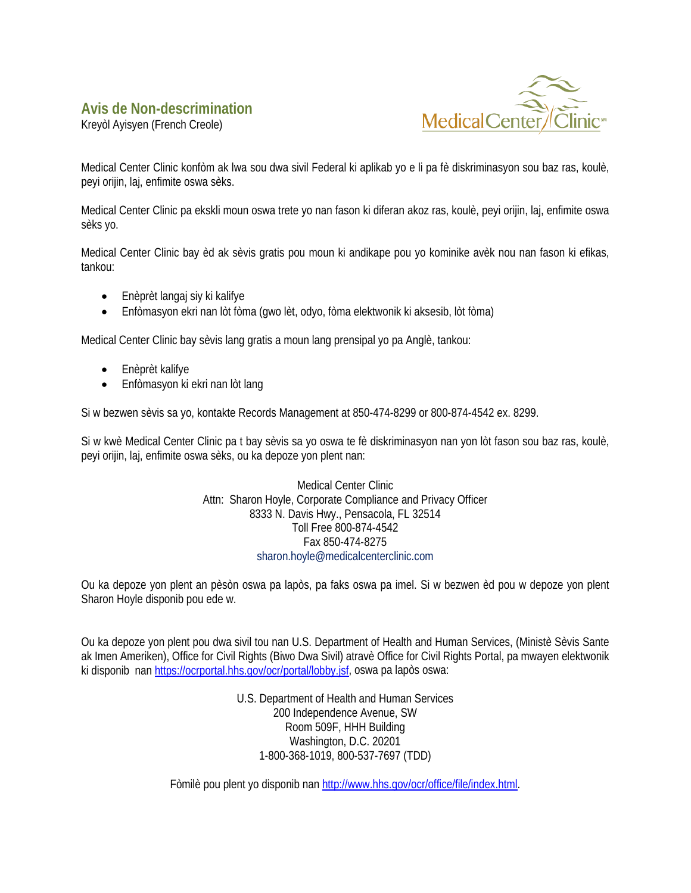#### <span id="page-2-0"></span>**Avis de Non-descrimination**

Kreyòl Ayisyen (French Creole)



Medical Center Clinic konfòm ak lwa sou dwa sivil Federal ki aplikab yo e li pa fè diskriminasyon sou baz ras, koulè, peyi orijin, laj, enfimite oswa sèks.

Medical Center Clinic pa ekskli moun oswa trete yo nan fason ki diferan akoz ras, koulè, peyi orijin, laj, enfimite oswa sèks yo.

Medical Center Clinic bay èd ak sèvis gratis pou moun ki andikape pou yo kominike avèk nou nan fason ki efikas, tankou:

- Enèprèt langaj siy ki kalifye
- Enfòmasyon ekri nan lòt fòma (gwo lèt, odyo, fòma elektwonik ki aksesib, lòt fòma)

Medical Center Clinic bay sèvis lang gratis a moun lang prensipal yo pa Anglè, tankou:

- Enèprèt kalifye
- Enfòmasyon ki ekri nan lòt lang

Si w bezwen sèvis sa yo, kontakte Records Management at 850-474-8299 or 800-874-4542 ex. 8299.

Si w kwè Medical Center Clinic pa t bay sèvis sa yo oswa te fè diskriminasyon nan yon lòt fason sou baz ras, koulè, peyi orijin, laj, enfimite oswa sèks, ou ka depoze yon plent nan:

> Medical Center Clinic Attn: Sharon Hoyle, Corporate Compliance and Privacy Officer 8333 N. Davis Hwy., Pensacola, FL 32514 Toll Free 800-874-4542 Fax 850-474-8275 sharon.hoyle@medicalcenterclinic.com

Ou ka depoze yon plent an pèsòn oswa pa lapòs, pa faks oswa pa imel. Si w bezwen èd pou w depoze yon plent Sharon Hoyle disponib pou ede w.

Ou ka depoze yon plent pou dwa sivil tou nan U.S. Department of Health and Human Services, (Ministè Sèvis Sante ak Imen Ameriken), Office for Civil Rights (Biwo Dwa Sivil) atravè Office for Civil Rights Portal, pa mwayen elektwonik ki disponib nan [https://ocrportal.hhs.gov/ocr/portal/lobby.jsf,](https://ocrportal.hhs.gov/ocr/portal/lobby.jsf) oswa pa lapòs oswa:

> U.S. Department of Health and Human Services 200 Independence Avenue, SW Room 509F, HHH Building Washington, D.C. 20201 1-800-368-1019, 800-537-7697 (TDD)

Fòmilè pou plent yo disponib na[n http://www.hhs.gov/ocr/office/file/index.html.](http://www.hhs.gov/ocr/office/file/index.html)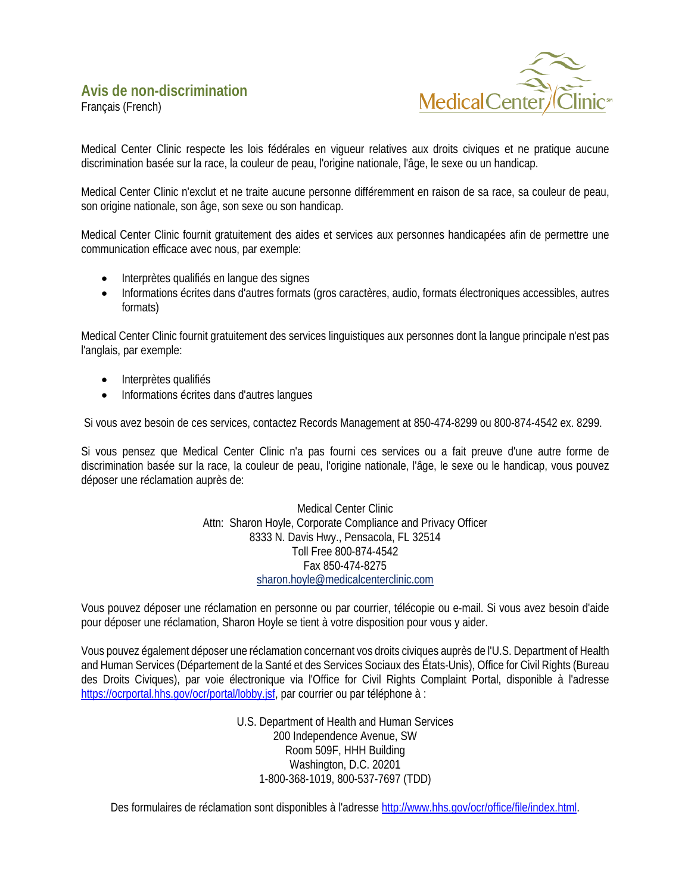<span id="page-3-0"></span>Français (French)



Medical Center Clinic respecte les lois fédérales en vigueur relatives aux droits civiques et ne pratique aucune discrimination basée sur la race, la couleur de peau, l'origine nationale, l'âge, le sexe ou un handicap.

Medical Center Clinic n'exclut et ne traite aucune personne différemment en raison de sa race, sa couleur de peau, son origine nationale, son âge, son sexe ou son handicap.

Medical Center Clinic fournit gratuitement des aides et services aux personnes handicapées afin de permettre une communication efficace avec nous, par exemple:

- Interprètes qualifiés en langue des signes
- Informations écrites dans d'autres formats (gros caractères, audio, formats électroniques accessibles, autres formats)

Medical Center Clinic fournit gratuitement des services linguistiques aux personnes dont la langue principale n'est pas l'anglais, par exemple:

- Interprètes qualifiés
- Informations écrites dans d'autres langues

Si vous avez besoin de ces services, contactez Records Management at 850-474-8299 ou 800-874-4542 ex. 8299.

Si vous pensez que Medical Center Clinic n'a pas fourni ces services ou a fait preuve d'une autre forme de discrimination basée sur la race, la couleur de peau, l'origine nationale, l'âge, le sexe ou le handicap, vous pouvez déposer une réclamation auprès de:

> Medical Center Clinic Attn: Sharon Hoyle, Corporate Compliance and Privacy Officer 8333 N. Davis Hwy., Pensacola, FL 32514 Toll Free 800-874-4542 Fax 850-474-8275 [sharon.hoyle@medicalcenterclinic.com](mailto:sharon.hoyle@medicalcenterclinic.com)

Vous pouvez déposer une réclamation en personne ou par courrier, télécopie ou e-mail. Si vous avez besoin d'aide pour déposer une réclamation, Sharon Hoyle se tient à votre disposition pour vous y aider.

Vous pouvez également déposer une réclamation concernant vos droits civiques auprès de l'U.S. Department of Health and Human Services (Département de la Santé et des Services Sociaux des États-Unis), Office for Civil Rights (Bureau des Droits Civiques), par voie électronique via l'Office for Civil Rights Complaint Portal, disponible à l'adresse [https://ocrportal.hhs.gov/ocr/portal/lobby.jsf,](https://ocrportal.hhs.gov/ocr/portal/lobby.jsf) par courrier ou par téléphone à :

> U.S. Department of Health and Human Services 200 Independence Avenue, SW Room 509F, HHH Building Washington, D.C. 20201 1-800-368-1019, 800-537-7697 (TDD)

Des formulaires de réclamation sont disponibles à l'adresse [http://www.hhs.gov/ocr/office/file/index.html.](http://www.hhs.gov/ocr/office/file/index.html)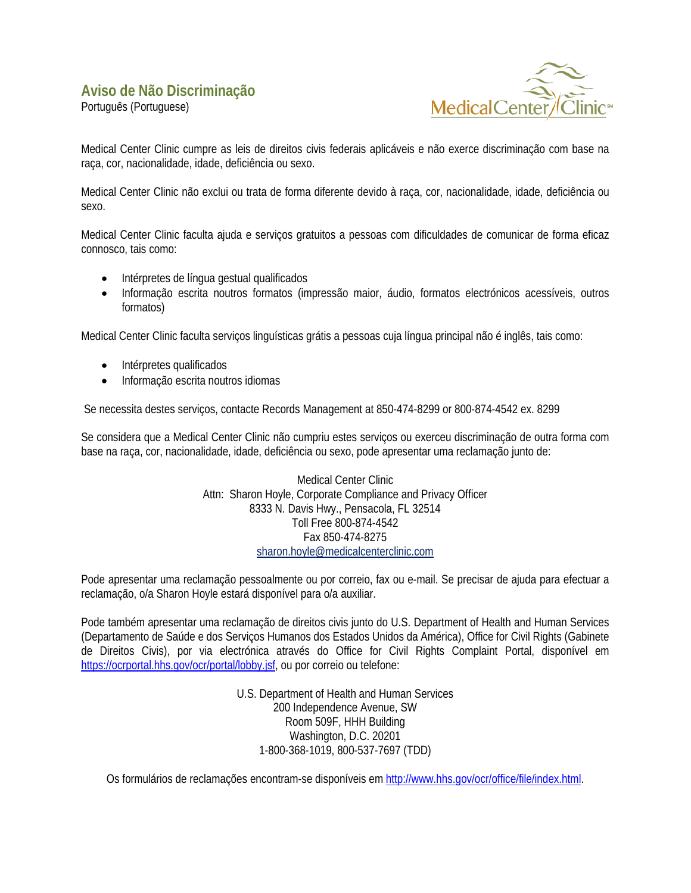<span id="page-4-0"></span>Português (Portuguese)



Medical Center Clinic cumpre as leis de direitos civis federais aplicáveis e não exerce discriminação com base na raça, cor, nacionalidade, idade, deficiência ou sexo.

Medical Center Clinic não exclui ou trata de forma diferente devido à raça, cor, nacionalidade, idade, deficiência ou sexo.

Medical Center Clinic faculta ajuda e serviços gratuitos a pessoas com dificuldades de comunicar de forma eficaz connosco, tais como:

- Intérpretes de língua gestual qualificados
- Informação escrita noutros formatos (impressão maior, áudio, formatos electrónicos acessíveis, outros formatos)

Medical Center Clinic faculta serviços linguísticas grátis a pessoas cuja língua principal não é inglês, tais como:

- Intérpretes qualificados
- Informação escrita noutros idiomas

Se necessita destes serviços, contacte Records Management at 850-474-8299 or 800-874-4542 ex. 8299

Se considera que a Medical Center Clinic não cumpriu estes serviços ou exerceu discriminação de outra forma com base na raça, cor, nacionalidade, idade, deficiência ou sexo, pode apresentar uma reclamação junto de:

> Medical Center Clinic Attn: Sharon Hoyle, Corporate Compliance and Privacy Officer 8333 N. Davis Hwy., Pensacola, FL 32514 Toll Free 800-874-4542 Fax 850-474-8275 [sharon.hoyle@medicalcenterclinic.com](mailto:sharon.hoyle@medicalcenterclinic.com)

Pode apresentar uma reclamação pessoalmente ou por correio, fax ou e-mail. Se precisar de ajuda para efectuar a reclamação, o/a Sharon Hoyle estará disponível para o/a auxiliar.

Pode também apresentar uma reclamação de direitos civis junto do U.S. Department of Health and Human Services (Departamento de Saúde e dos Serviços Humanos dos Estados Unidos da América), Office for Civil Rights (Gabinete de Direitos Civis), por via electrónica através do Office for Civil Rights Complaint Portal, disponível em [https://ocrportal.hhs.gov/ocr/portal/lobby.jsf,](https://ocrportal.hhs.gov/ocr/portal/lobby.jsf) ou por correio ou telefone:

> U.S. Department of Health and Human Services 200 Independence Avenue, SW Room 509F, HHH Building Washington, D.C. 20201 1-800-368-1019, 800-537-7697 (TDD)

Os formulários de reclamações encontram-se disponíveis em [http://www.hhs.gov/ocr/office/file/index.html.](http://www.hhs.gov/ocr/office/file/index.html)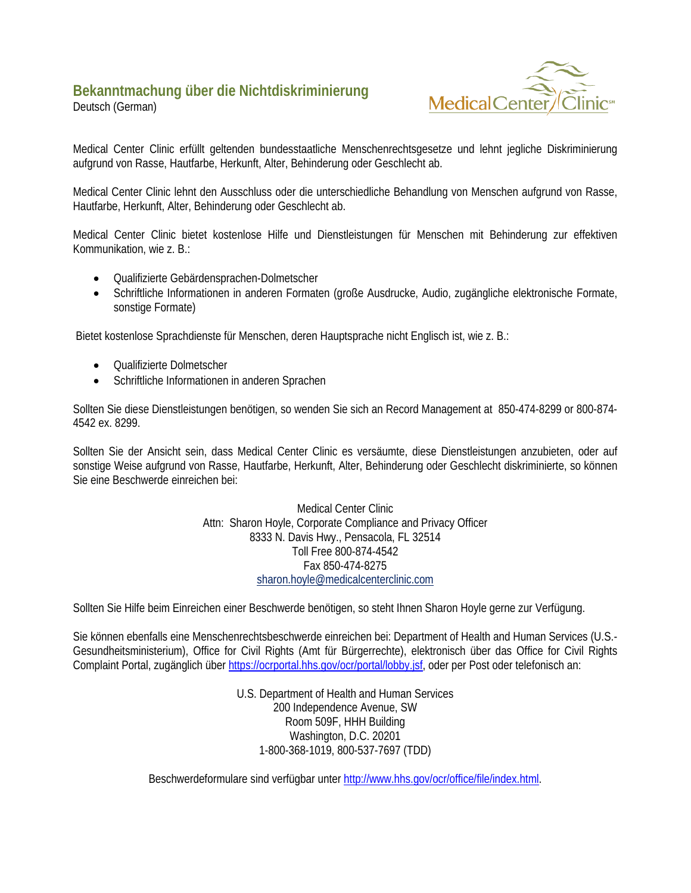# <span id="page-5-0"></span>**Bekanntmachung über die Nichtdiskriminierung**

Deutsch (German)



Medical Center Clinic erfüllt geltenden bundesstaatliche Menschenrechtsgesetze und lehnt jegliche Diskriminierung aufgrund von Rasse, Hautfarbe, Herkunft, Alter, Behinderung oder Geschlecht ab.

Medical Center Clinic lehnt den Ausschluss oder die unterschiedliche Behandlung von Menschen aufgrund von Rasse, Hautfarbe, Herkunft, Alter, Behinderung oder Geschlecht ab.

Medical Center Clinic bietet kostenlose Hilfe und Dienstleistungen für Menschen mit Behinderung zur effektiven Kommunikation, wie z. B.:

- Qualifizierte Gebärdensprachen-Dolmetscher
- Schriftliche Informationen in anderen Formaten (große Ausdrucke, Audio, zugängliche elektronische Formate, sonstige Formate)

Bietet kostenlose Sprachdienste für Menschen, deren Hauptsprache nicht Englisch ist, wie z. B.:

- Qualifizierte Dolmetscher
- Schriftliche Informationen in anderen Sprachen

Sollten Sie diese Dienstleistungen benötigen, so wenden Sie sich an Record Management at 850-474-8299 or 800-874- 4542 ex. 8299.

Sollten Sie der Ansicht sein, dass Medical Center Clinic es versäumte, diese Dienstleistungen anzubieten, oder auf sonstige Weise aufgrund von Rasse, Hautfarbe, Herkunft, Alter, Behinderung oder Geschlecht diskriminierte, so können Sie eine Beschwerde einreichen bei:

> Medical Center Clinic Attn: Sharon Hoyle, Corporate Compliance and Privacy Officer 8333 N. Davis Hwy., Pensacola, FL 32514 Toll Free 800-874-4542 Fax 850-474-8275 [sharon.hoyle@medicalcenterclinic.com](mailto:sharon.hoyle@medicalcenterclinic.com)

Sollten Sie Hilfe beim Einreichen einer Beschwerde benötigen, so steht Ihnen Sharon Hoyle gerne zur Verfügung.

Sie können ebenfalls eine Menschenrechtsbeschwerde einreichen bei: Department of Health and Human Services (U.S.- Gesundheitsministerium), Office for Civil Rights (Amt für Bürgerrechte), elektronisch über das Office for Civil Rights Complaint Portal, zugänglich übe[r https://ocrportal.hhs.gov/ocr/portal/lobby.jsf,](https://ocrportal.hhs.gov/ocr/portal/lobby.jsf) oder per Post oder telefonisch an:

> U.S. Department of Health and Human Services 200 Independence Avenue, SW Room 509F, HHH Building Washington, D.C. 20201 1-800-368-1019, 800-537-7697 (TDD)

Beschwerdeformulare sind verfügbar unte[r http://www.hhs.gov/ocr/office/file/index.html.](http://www.hhs.gov/ocr/office/file/index.html)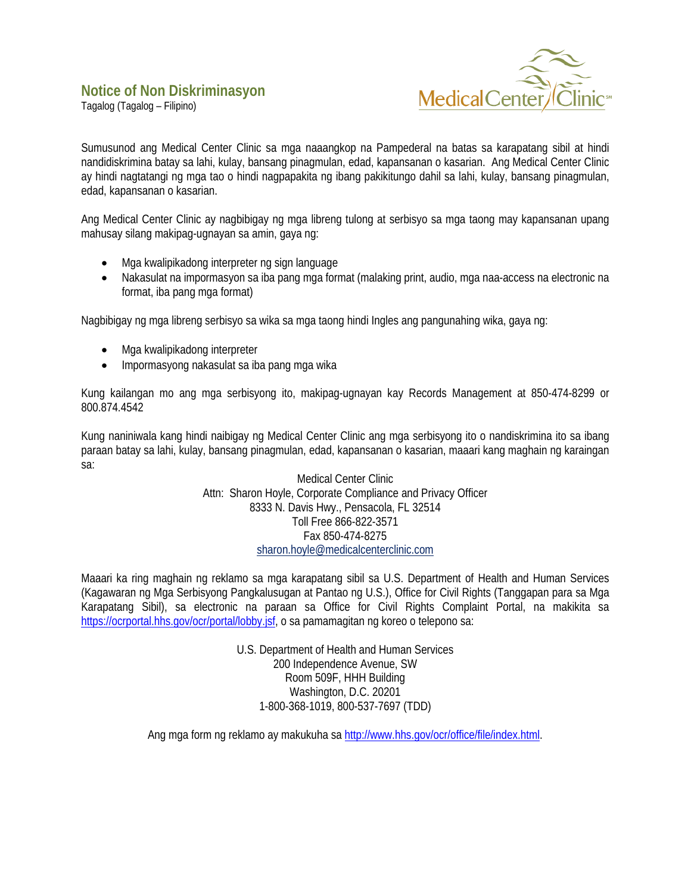<span id="page-6-0"></span>Tagalog (Tagalog – Filipino)



Sumusunod ang Medical Center Clinic sa mga naaangkop na Pampederal na batas sa karapatang sibil at hindi nandidiskrimina batay sa lahi, kulay, bansang pinagmulan, edad, kapansanan o kasarian. Ang Medical Center Clinic ay hindi nagtatangi ng mga tao o hindi nagpapakita ng ibang pakikitungo dahil sa lahi, kulay, bansang pinagmulan, edad, kapansanan o kasarian.

Ang Medical Center Clinic ay nagbibigay ng mga libreng tulong at serbisyo sa mga taong may kapansanan upang mahusay silang makipag-ugnayan sa amin, gaya ng:

- Mga kwalipikadong interpreter ng sign language
- Nakasulat na impormasyon sa iba pang mga format (malaking print, audio, mga naa-access na electronic na format, iba pang mga format)

Nagbibigay ng mga libreng serbisyo sa wika sa mga taong hindi Ingles ang pangunahing wika, gaya ng:

- Mga kwalipikadong interpreter
- Impormasyong nakasulat sa iba pang mga wika

Kung kailangan mo ang mga serbisyong ito, makipag-ugnayan kay Records Management at 850-474-8299 or 800.874.4542

Kung naniniwala kang hindi naibigay ng Medical Center Clinic ang mga serbisyong ito o nandiskrimina ito sa ibang paraan batay sa lahi, kulay, bansang pinagmulan, edad, kapansanan o kasarian, maaari kang maghain ng karaingan sa:

> Medical Center Clinic Attn: Sharon Hoyle, Corporate Compliance and Privacy Officer 8333 N. Davis Hwy., Pensacola, FL 32514 Toll Free 866-822-3571 Fax 850-474-8275 [sharon.hoyle@medicalcenterclinic.com](mailto:sharon.hoyle@medicalcenterclinic.com)

Maaari ka ring maghain ng reklamo sa mga karapatang sibil sa U.S. Department of Health and Human Services (Kagawaran ng Mga Serbisyong Pangkalusugan at Pantao ng U.S.), Office for Civil Rights (Tanggapan para sa Mga Karapatang Sibil), sa electronic na paraan sa Office for Civil Rights Complaint Portal, na makikita sa [https://ocrportal.hhs.gov/ocr/portal/lobby.jsf,](https://ocrportal.hhs.gov/ocr/portal/lobby.jsf) o sa pamamagitan ng koreo o telepono sa:

> U.S. Department of Health and Human Services 200 Independence Avenue, SW Room 509F, HHH Building Washington, D.C. 20201 1-800-368-1019, 800-537-7697 (TDD)

Ang mga form ng reklamo ay makukuha sa [http://www.hhs.gov/ocr/office/file/index.html.](http://www.hhs.gov/ocr/office/file/index.html)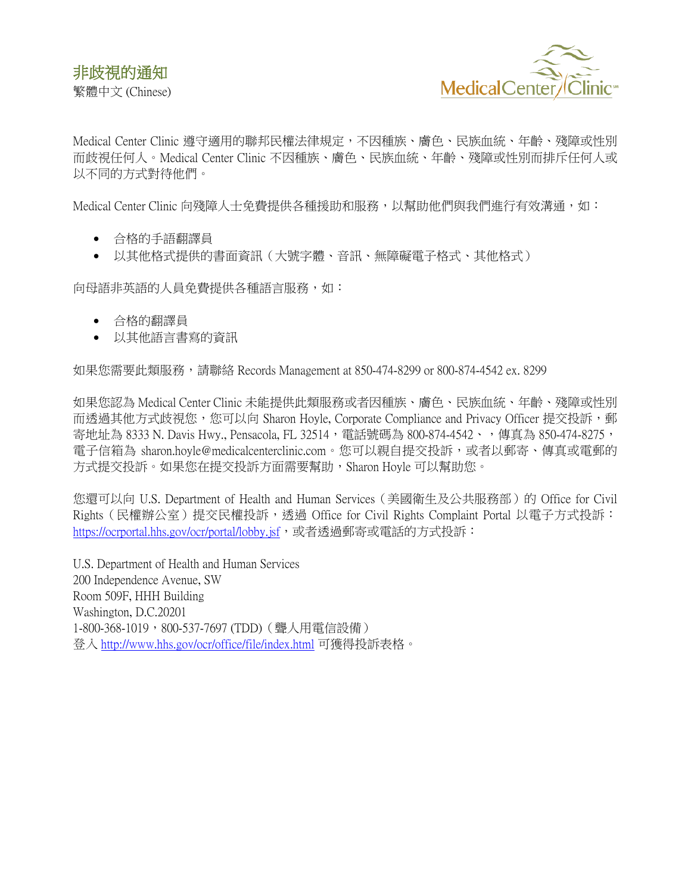

<span id="page-7-0"></span>Medical Center Clinic 遵守適用的聯邦民權法律規定,不因種族、膚色、民族血統、年齡、殘障或性別 而歧視任何人。Medical Center Clinic 不因種族、膚色、民族血統、年齡、殘障或性別而排斥任何人或 以不同的方式對待他們。

Medical Center Clinic 向殘障人士免費提供各種援助和服務,以幫助他們與我們進行有效溝通,如:

- 合格的手語翻譯員
- 以其他格式提供的書面資訊(大號字體、音訊、無障礙電子格式、其他格式)

向母語非英語的人員免費提供各種語言服務,如:

- 合格的翻譯員
- 以其他語言書寫的資訊

如果您需要此類服務,請聯絡 Records Management at 850-474-8299 or 800-874-4542 ex. 8299

如果您認為 Medical Center Clinic 未能提供此類服務或者因種族、膚色、民族血統、年齡、殘障或性別 而透過其他方式歧視您,您可以向 Sharon Hoyle, Corporate Compliance and Privacy Officer 提交投訴,郵 寄地址為 8333 N. Davis Hwy., Pensacola, FL 32514,電話號碼為 800-874-4542、,傳真為 850-474-8275, 電子信箱為 sharon.hoyle@medicalcenterclinic.com。您可以親自提交投訴,或者以郵寄、傳真或電郵的 方式提交投訴。如果您在提交投訴方面需要幫助,Sharon Hoyle 可以幫助您。

您還可以向 U.S. Department of Health and Human Services(美國衛生及公共服務部)的 Office for Civil Rights(民權辦公室)提交民權投訴,透過 Office for Civil Rights Complaint Portal 以電子方式投訴: <https://ocrportal.hhs.gov/ocr/portal/lobby.jsf>,或者透過郵寄或電話的方式投訴:

U.S. Department of Health and Human Services 200 Independence Avenue, SW Room 509F, HHH Building Washington, D.C.20201 1-800-368-1019,800-537-7697 (TDD)(聾人用電信設備) 登入 <http://www.hhs.gov/ocr/office/file/index.html> 可獲得投訴表格。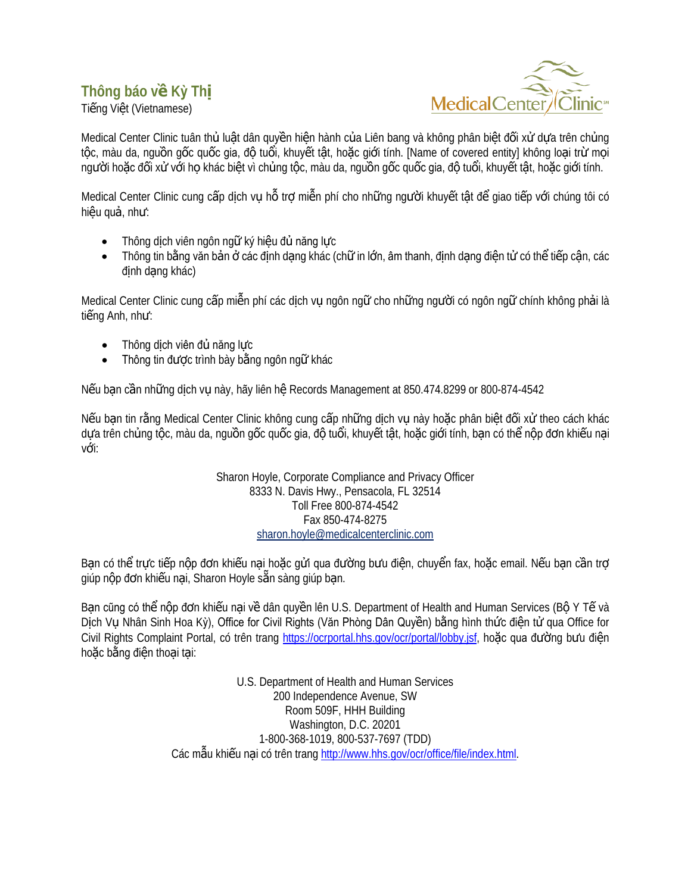### <span id="page-8-0"></span>**Thông báo về Kỳ Thị**

Tiếng Việt (Vietnamese)



Medical Center Clinic tuân thủ luật dân quyền hiện hành của Liên bang và không phân biệt đối xử dưa trên chủng tộc, màu da, nguồn gốc quốc gia, độ tuổi, khuyết tật, hoặc giới tính. [Name of covered entity] không loại trừ mọi người hoặc đối xử với họ khác biệt vì chủng tộc, màu da, nguồn gốc quốc gia, độ tuổi, khuyết tật, hoặc giới tính.

Medical Center Clinic cung cấp dịch vụ hỗ trợ miễn phí cho những người khuyết tật để giao tiếp với chúng tôi có hiệu quả, như:

- Thông dịch viên ngôn ngữ ký hiệu đủ năng lực
- Thông tin bằng văn bản ở các định dạng khác (chữ in lớn, âm thanh, định dạng điện tử có thể tiếp cân, các định dang khác)

Medical Center Clinic cung cấp miễn phí các dịch vụ ngôn ngữ cho những người có ngôn ngữ chính không phải là tiếng Anh, như:

- Thông dịch viên đủ năng lực
- Thông tin được trình bày bằng ngôn ngữ khác

Nếu bạn cần những dịch vụ này, hãy liên hệ Records Management at 850.474.8299 or 800-874-4542

Nếu ban tin rằng Medical Center Clinic không cung cấp những dịch vu này hoặc phân biệt đối xử theo cách khác dựa trên chủng tộc, màu da, nguồn gốc quốc gia, độ tuổi, khuyết tật, hoặc giới tính, ban có thể nộp đơn khiếu nại với:

> Sharon Hoyle, Corporate Compliance and Privacy Officer 8333 N. Davis Hwy., Pensacola, FL 32514 Toll Free 800-874-4542 Fax 850-474-8275 [sharon.hoyle@medicalcenterclinic.com](mailto:sharon.hoyle@medicalcenterclinic.com)

Bạn có thể trực tiếp nộp đơn khiếu nại hoặc gửi qua đường bưu điện, chuyển fax, hoặc email. Nếu bạn cần trợ giúp nộp đơn khiếu nai, Sharon Hoyle sẵn sàng giúp ban.

Ban cũng có thể nộp đơn khiếu nai về dân quyền lên U.S. Department of Health and Human Services (Bộ Y Tế và Dịch Vụ Nhân Sinh Hoa Kỳ), Office for Civil Rights (Văn Phòng Dân Quyền) bằng hình thức điện tử qua Office for Civil Rights Complaint Portal, có trên trang [https://ocrportal.hhs.gov/ocr/portal/lobby.jsf,](https://ocrportal.hhs.gov/ocr/portal/lobby.jsf) hoặc qua đường bưu điện hoặc bằng điện thoại tại:

> U.S. Department of Health and Human Services 200 Independence Avenue, SW Room 509F, HHH Building Washington, D.C. 20201 1-800-368-1019, 800-537-7697 (TDD) Các mâu khiếu nại có trên tran[g http://www.hhs.gov/ocr/office/file/index.html.](http://www.hhs.gov/ocr/office/file/index.html)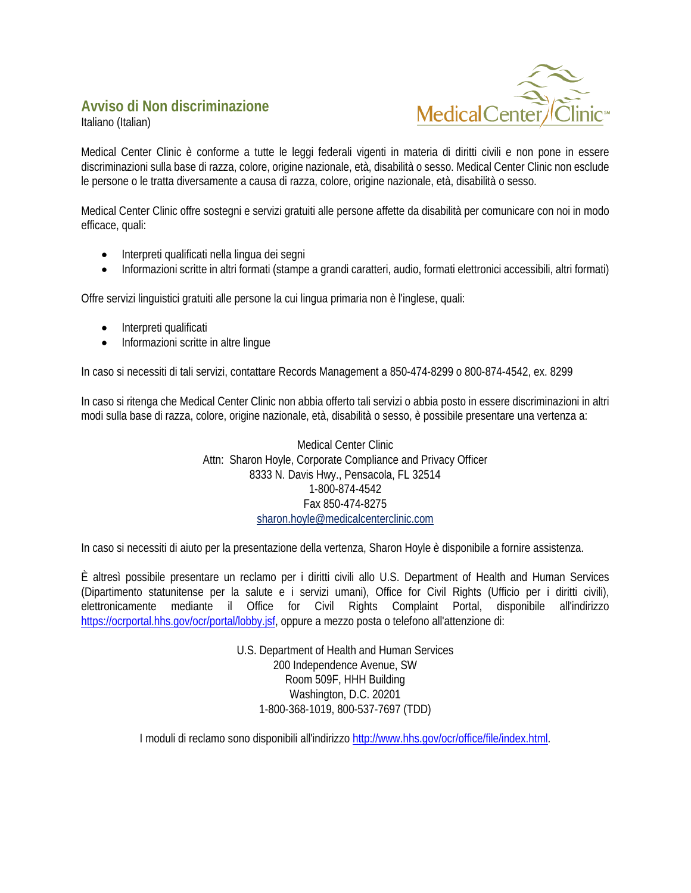### <span id="page-9-0"></span>**Avviso di Non discriminazione**





Medical Center Clinic è conforme a tutte le leggi federali vigenti in materia di diritti civili e non pone in essere discriminazioni sulla base di razza, colore, origine nazionale, età, disabilità o sesso. Medical Center Clinic non esclude le persone o le tratta diversamente a causa di razza, colore, origine nazionale, età, disabilità o sesso.

Medical Center Clinic offre sostegni e servizi gratuiti alle persone affette da disabilità per comunicare con noi in modo efficace, quali:

- Interpreti qualificati nella lingua dei segni
- Informazioni scritte in altri formati (stampe a grandi caratteri, audio, formati elettronici accessibili, altri formati)

Offre servizi linguistici gratuiti alle persone la cui lingua primaria non è l'inglese, quali:

- Interpreti qualificati
- Informazioni scritte in altre lingue

In caso si necessiti di tali servizi, contattare Records Management a 850-474-8299 o 800-874-4542, ex. 8299

In caso si ritenga che Medical Center Clinic non abbia offerto tali servizi o abbia posto in essere discriminazioni in altri modi sulla base di razza, colore, origine nazionale, età, disabilità o sesso, è possibile presentare una vertenza a:

> Medical Center Clinic Attn: Sharon Hoyle, Corporate Compliance and Privacy Officer 8333 N. Davis Hwy., Pensacola, FL 32514 1-800-874-4542 Fax 850-474-8275 [sharon.hoyle@medicalcenterclinic.com](mailto:sharon.hoyle@medicalcenterclinic.com)

In caso si necessiti di aiuto per la presentazione della vertenza, Sharon Hoyle è disponibile a fornire assistenza.

È altresì possibile presentare un reclamo per i diritti civili allo U.S. Department of Health and Human Services (Dipartimento statunitense per la salute e i servizi umani), Office for Civil Rights (Ufficio per i diritti civili), elettronicamente mediante il Office for Civil Rights Complaint Portal, disponibile all'indirizzo [https://ocrportal.hhs.gov/ocr/portal/lobby.jsf,](https://ocrportal.hhs.gov/ocr/portal/lobby.jsf) oppure a mezzo posta o telefono all'attenzione di:

> U.S. Department of Health and Human Services 200 Independence Avenue, SW Room 509F, HHH Building Washington, D.C. 20201 1-800-368-1019, 800-537-7697 (TDD)

I moduli di reclamo sono disponibili all'indirizz[o http://www.hhs.gov/ocr/office/file/index.html.](http://www.hhs.gov/ocr/office/file/index.html)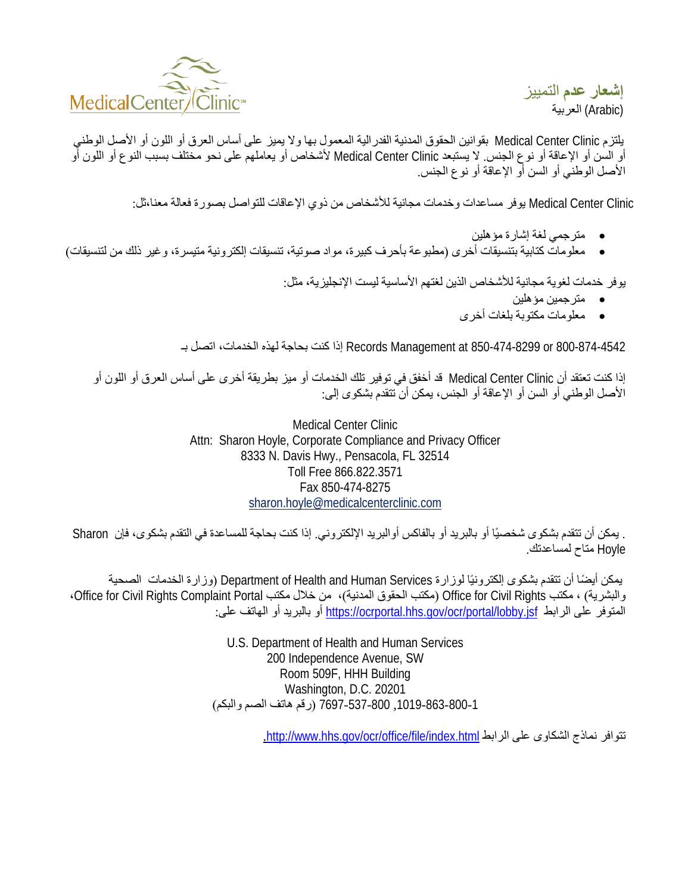<span id="page-10-0"></span>

**إشعار عدم** التمییز (Arabic) العربیة

یلتزم Clinic Center Medical بقوانین الحقوق المدنیة الفدرالیة المعمول بھا ولا یمیز على أساس العرق أو اللون أو الأصل الوطني أو السن أو الإعاقة أو نوع الجنس. لا یستبعد Clinic Center Medical لأشخاص أو یعاملھم على نحو مختلف بسبب النوع أو اللون أو الأصل الوطني أو السن أو الإعاقة أو نوع الجنس.

Medical Center Clinic يوفر مساعدات وخدمات مجانية للأشخاص من ذوي الإعاقات للتواصل بصورة فعالة معنا،ثل:

- مترجمي لغة إشارة مؤھلین
- معلومات كتابیة بتنسیقات أخرى (مطبوعة بأحرف كبیرة، مواد صوتیة، تنسیقات إلكترونیة متیسرة، وغیر ذلك من لتنسیقات)

یوفر خدمات لغویة مجانیة للأشخاص الذین لغتھم الأساسیة لیست الإنجلیزیة، مثل:

- مترجمین مؤھلین
- معلومات مكتوبة بلغات أخرى

800-874-4542 or 850-474-8299 at Management Records إذا كنت بحاجة لھذه الخدمات، اتصل بـ

إذا كنت تعتقد أن Clinic Center Medical قد أخفق في توفیر تلك الخدمات أو میز بطریقة أخرى على أساس العرق أو اللون أو الأصل الوطني أو السن أو الإعاقة أو الجنس، یمكن أن تتقدم بشكوى إلى:

> Medical Center Clinic Attn: Sharon Hoyle, Corporate Compliance and Privacy Officer 8333 N. Davis Hwy., Pensacola, FL 32514 Toll Free 866.822.3571 Fax 850-474-8275 [sharon.hoyle@medicalcenterclinic.com](mailto:sharon.hoyle@medicalcenterclinic.com)

. يمكن أن تتقدم بشكوى شخصيًا أو بالبريد أو بالفاكس أوالبريد الإلكتروني. إذا كنت بحاجة للمساعدة في التقدم بشكوى، فإن Hoyle متاح لمساعدتك.

بمكن أيضًا أن تتقدم بشكوى إلكترونيًا لوزارة Department of Health and Human Services (وزارة الخدمات الصحية والبشریة) ، مكتب Office for Civil Rights (مكتب الحقوق المدنیة)، من خلال مكتب Office for Civil Rights Complaint Portal ، المتوفر على الرابط https://ocrportal.hhs.gov/ocr/portal/lobby.jsf أو بالبرید أو المهاتف على:

> U.S. Department of Health and Human Services 200 Independence Avenue, SW Room 509F, HHH Building Washington, D.C. 20201 ,1019-863-800-1 7697-537-800 (رقم ھاتف الصم والبكم)

> > . <http://www.hhs.gov/ocr/office/file/index.html> الرابط على الشكاوى نماذج تتوافر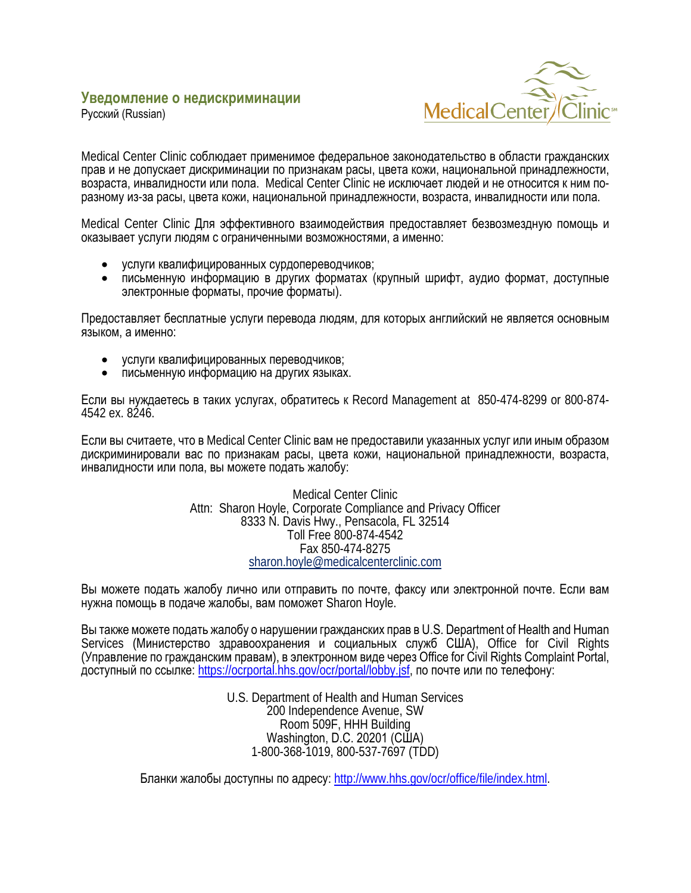#### <span id="page-11-0"></span>**Уведомление о недискриминации**



Русский (Russian)

Medical Center Clinic соблюдает применимое федеральное законодательство в области гражданских прав и не допускает дискриминации по признакам расы, цвета кожи, национальной принадлежности, возраста, инвалидности или пола. Medical Center Clinic не исключает людей и не относится к ним поразному из-за расы, цвета кожи, национальной принадлежности, возраста, инвалидности или пола.

Medical Center Clinic Для эффективного взаимодействия предоставляет безвозмездную помощь и оказывает услуги людям с ограниченными возможностями, а именно:

- услуги квалифицированных сурдопереводчиков;
- письменную информацию в других форматах (крупный шрифт, аудио формат, доступные электронные форматы, прочие форматы).

Предоставляет бесплатные услуги перевода людям, для которых английский не является основным языком, а именно:

- услуги квалифицированных переводчиков;
- письменную информацию на других языках.

Если вы нуждаетесь в таких услугах, обратитесь к Record Management at 850-474-8299 or 800-874- 4542 ex. 8246.

Если вы считаете, что в Medical Center Clinic вам не предоставили указанных услуг или иным образом дискриминировали вас по признакам расы, цвета кожи, национальной принадлежности, возраста, инвалидности или пола, вы можете подать жалобу:

> Medical Center Clinic Attn: Sharon Hoyle, Corporate Compliance and Privacy Officer 8333 N. Davis Hwy., Pensacola, FL 32514 Toll Free 800-874-4542 Fax 850-474-8275 [sharon.hoyle@medicalcenterclinic.com](mailto:sharon.hoyle@medicalcenterclinic.com)

Вы можете подать жалобу лично или отправить по почте, факсу или электронной почте. Если вам нужна помощь в подаче жалобы, вам поможет Sharon Hoyle.

Вы также можете подать жалобу о нарушении гражданских прав в U.S. Department of Health and Human Services (Министерство здравоохранения и социальных служб США), Office for Civil Rights (Управление по гражданским правам), в электронном виде через Office for Civil Rights Complaint Portal, доступный по ссылке: <https://ocrportal.hhs.gov/ocr/portal/lobby.jsf>, по почте или по телефону:

> U.S. Department of Health and Human Services 200 Independence Avenue, SW Room 509F, HHH Building Washington, D.C. 20201 (США) 1-800-368-1019, 800-537-7697 (TDD)

Бланки жалобы доступны по адресу: [http://www.hhs.gov/ocr/office/file/index.html.](http://www.hhs.gov/ocr/office/file/index.html)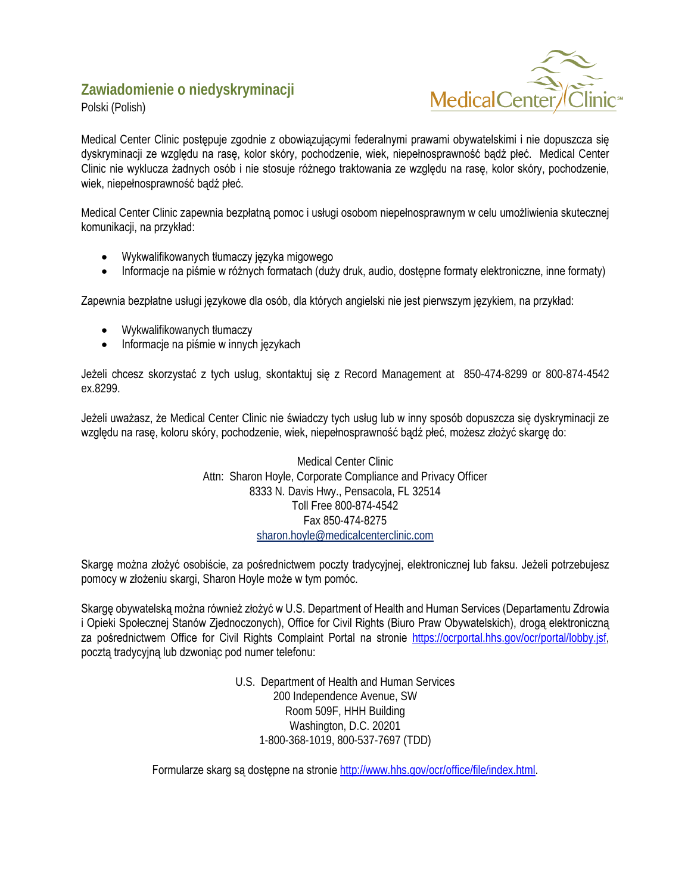### <span id="page-12-0"></span>**Zawiadomienie o niedyskryminacji**





Medical Center Clinic postępuje zgodnie z obowiązującymi federalnymi prawami obywatelskimi i nie dopuszcza się dyskryminacji ze względu na rasę, kolor skóry, pochodzenie, wiek, niepełnosprawność bądź płeć. Medical Center Clinic nie wyklucza żadnych osób i nie stosuje różnego traktowania ze względu na rasę, kolor skóry, pochodzenie, wiek, niepełnosprawność bądź płeć.

Medical Center Clinic zapewnia bezpłatną pomoc i usługi osobom niepełnosprawnym w celu umożliwienia skutecznej komunikacji, na przykład:

- Wykwalifikowanych tłumaczy języka migowego
- Informacje na piśmie w różnych formatach (duży druk, audio, dostępne formaty elektroniczne, inne formaty)

Zapewnia bezpłatne usługi językowe dla osób, dla których angielski nie jest pierwszym językiem, na przykład:

- Wykwalifikowanych tłumaczy
- Informacje na piśmie w innych językach

Jeżeli chcesz skorzystać z tych usług, skontaktuj się z Record Management at 850-474-8299 or 800-874-4542 ex.8299.

Jeżeli uważasz, że Medical Center Clinic nie świadczy tych usług lub w inny sposób dopuszcza się dyskryminacji ze względu na rasę, koloru skóry, pochodzenie, wiek, niepełnosprawność bądź płeć, możesz złożyć skargę do:

> Medical Center Clinic Attn: Sharon Hoyle, Corporate Compliance and Privacy Officer 8333 N. Davis Hwy., Pensacola, FL 32514 Toll Free 800-874-4542 Fax 850-474-8275 [sharon.hoyle@medicalcenterclinic.com](mailto:sharon.hoyle@medicalcenterclinic.com)

Skargę można złożyć osobiście, za pośrednictwem poczty tradycyjnej, elektronicznej lub faksu. Jeżeli potrzebujesz pomocy w złożeniu skargi, Sharon Hoyle może w tym pomóc.

Skargę obywatelską można również złożyć w U.S. Department of Health and Human Services (Departamentu Zdrowia i Opieki Społecznej Stanów Zjednoczonych), Office for Civil Rights (Biuro Praw Obywatelskich), drogą elektroniczną za pośrednictwem Office for Civil Rights Complaint Portal na stronie [https://ocrportal.hhs.gov/ocr/portal/lobby.jsf,](https://ocrportal.hhs.gov/ocr/portal/lobby.jsf)  pocztą tradycyjną lub dzwoniąc pod numer telefonu:

> U.S. Department of Health and Human Services 200 Independence Avenue, SW Room 509F, HHH Building Washington, D.C. 20201 1-800-368-1019, 800-537-7697 (TDD)

Formularze skarg są dostępne na stronie [http://www.hhs.gov/ocr/office/file/index.html.](http://www.hhs.gov/ocr/office/file/index.html)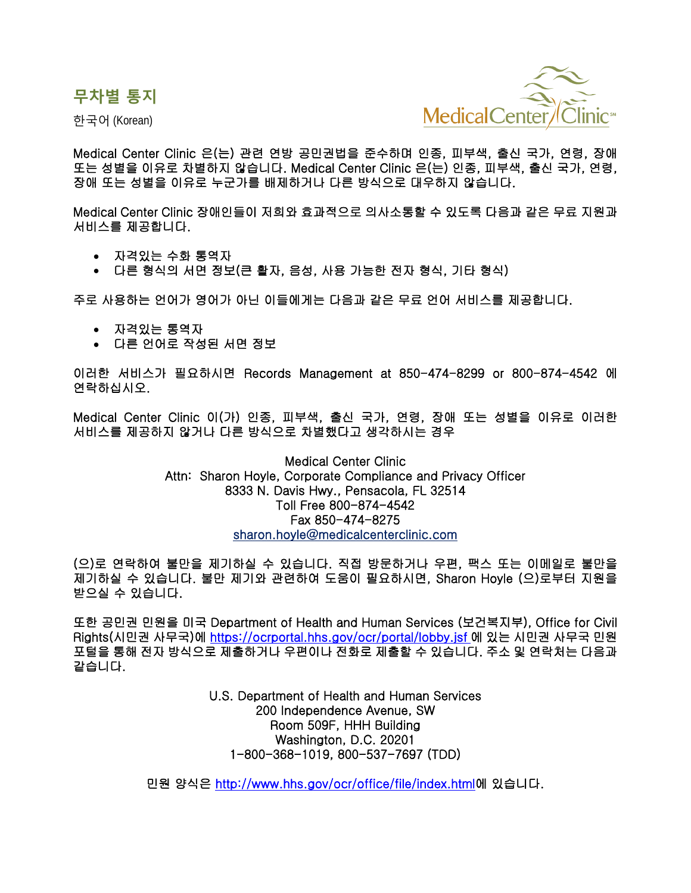<span id="page-13-0"></span>**무차별 통지**

한국어 (Korean)



Medical Center Clinic 은(는) 관련 연방 공민권법을 준수하며 인종, 피부색, 출신 국가, 연령, 장애 또는 성별을 이유로 차별하지 않습니다. Medical Center Clinic 은(는) 인종, 피부색, 출신 국가, 연령, 장애 또는 성별을 이유로 누군가를 배제하거나 다른 방식으로 대우하지 않습니다.

Medical Center Clinic 장애인들이 저희와 효과적으로 의사소통할 수 있도록 다음과 같은 무료 지원과 서비스를 제공합니다.

- 자격있는 수화 통역자
- 다른 형식의 서면 정보(큰 활자, 음성, 사용 가능한 전자 형식, 기타 형식)

주로 사용하는 언어가 영어가 아닌 이들에게는 다음과 같은 무료 언어 서비스를 제공합니다.

- 자격있는 통역자
- 다른 언어로 작성된 서면 정보

이러한 서비스가 필요하시면 Records Management at 850-474-8299 or 800-874-4542 에 연락하십시오.

Medical Center Clinic 이(가) 인종, 피부색, 출신 국가, 연령, 장애 또는 성별을 이유로 이러한 서비스를 제공하지 않거나 다른 방식으로 차별했다고 생각하시는 경우

> Medical Center Clinic Attn: Sharon Hoyle, Corporate Compliance and Privacy Officer 8333 N. Davis Hwy., Pensacola, FL 32514 Toll Free 800-874-4542 Fax 850-474-8275 [sharon.hoyle@medicalcenterclinic.com](mailto:sharon.hoyle@medicalcenterclinic.com)

(으)로 연락하여 불만을 제기하실 수 있습니다. 직접 방문하거나 우편, 팩스 또는 이메일로 불만을 제기하실 수 있습니다. 불만 제기와 관련하여 도움이 필요하시면, Sharon Hoyle (으)로부터 지원을 받으실 수 있습니다.

또한 공민권 민원을 미국 Department of Health and Human Services (보건복지부), Office for Civil Rights(시민권 사무국)에<https://ocrportal.hhs.gov/ocr/portal/lobby.jsf> 에 있는 시민권 사무국 민원 포털을 통해 전자 방식으로 제출하거나 우편이나 전화로 제출할 수 있습니다. 주소 및 연락처는 다음과 같습니다.

> U.S. Department of Health and Human Services 200 Independence Avenue, SW Room 509F, HHH Building Washington, D.C. 20201 1-800-368-1019, 800-537-7697 (TDD)

민원 양식은<http://www.hhs.gov/ocr/office/file/index.html>에 있습니다.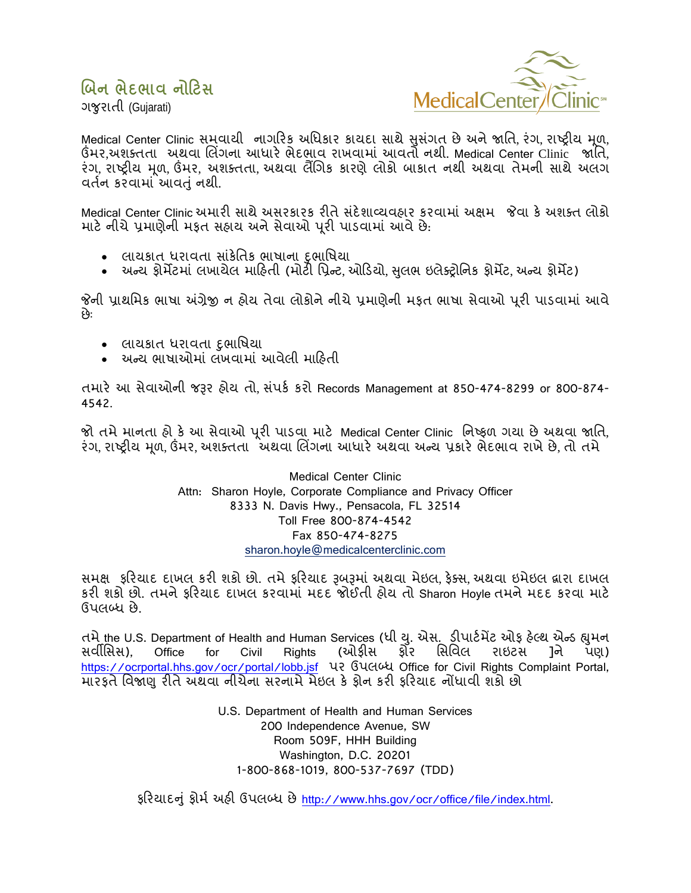### <span id="page-14-0"></span>બિન ભેદભાવ નોટિસ



ગજરાતી (Guiarati)

Medical Center Clinic સમવાથી નાગરિક અધિકાર કાયદા સાથે સુસંગત છે અને જાતિ, રંગ, રાષ્ટ્રીય મૂળ, ઉંમર,અશક્તતા અથવા લિંગના આધારે ભેદભાવ રાખવામાં આવતો નથી. Medical Center Clinic જાતિ, રંગ રાષ્ટ્રીય મળ ઉંમર, અશક્તતા અથવા લૈંગિક કારણે લોકો બાકાત નથી અથવા તેમની સાથે અલગ વર્તન કરવામાં આવતું નથી.

Medical Center Clinic અમારી સાથે અસરકારક રીતે સંદેશાવ્યવહાર કરવામાં અક્ષમ જેવા કે અશક્ત લોકો માટે નીચે પ્રમાણેની મફત સહાય અને સેવાઓ પૂરી પાડવામાં આવે છે.

- લાયકાત ધરાવતા સાંકેતિક ભાષાના દભાષિયા
- અન્ય ફોર્મેટમાં લખાચેલ માહિતી (મોટી પ્રિન્ટ, ઓડિયો, સુલભ ઇલેક્ટ્રોનિક ફોર્મેટ, અન્ય ફોર્મેટ)

જેની પ્રાથમિક ભાષા અંગ્રેજી ન હોય તેવા લોકોને નીચે પ્રમાણેની મકત ભાષા સેવાઓ પરી પાડવામાં આવે છે:

- લાયકાત ધરાવતા દ઼ભાષિયા
- અન્ય ભાષાઓમાં લખવામાં આવેલી માહિતી

તમારે આ સેવાઓની જરૂર હોય તો, સંપર્ક કરો Records Management at 850-474-8299 or 800-874-4542.

જો તમે માનતા હો કે આ સેવાઓ પૂરી પાડવા માટે Medical Center Clinic નિષ્ફળ ગયા છે અથવા જાતિ, રંગ, રાષ્ટ્રીય મૂળ, ઉંમર, અશક્તતા `ેઅથવા લિંગના આધારે અથવા અન્ય પ્રકારે ભેદભાવ રાખે છે, તો તમે

> **Medical Center Clinic** Attn: Sharon Hoyle, Corporate Compliance and Privacy Officer 8333 N. Davis Hwy., Pensacola, FL 32514 Toll Free 800-874-4542 Fax 850-474-8275 sharon.hoyle@medicalcenterclinic.com

સમક્ષ કરિયાદ દાખલ કરી શકો છો. તમે ફરિયાદ રૂબરૂમાં અથવા મેઇલ, કેક્સ, અથવા ઇમેઇલ દ્રારા દાખલ કરી શકો છો. તમને ફરિયાદ દાખલ કરવામાં મદદ જોઈતી હોય તો Sharon Hoyle તમને મદદ કરવા માટે ઉપલબ્ધ છે.

તમે the U.S. Department of Health and Human Services (ધી યુ. એસ. ડીપાર્ટમેંટ ઓફ હેલ્થ એન્ડ હ્યુમન સર્વાંસિસ). Office (ઓક્રીસ ર્શ્નેર સિવિલ રાઇટસ ાને for Civil Rights પણ) https://ocrportal.hhs.gov/ocr/portal/lobb.jsf ਪ? Guctou Office for Civil Rights Complaint Portal, મારફતે વિજાણુ રીતે અથવા નીચેના સરનામે મેઇલ કે ફોન કરી ફરિયાદ નોંધાવી શકો છો

> U.S. Department of Health and Human Services 200 Independence Avenue, SW Room 509F, HHH Building Washington, D.C. 20201 1-800-868-1019, 800-537-7697 (TDD)

ફરિયાદનું ફોર્મ અહી ઉપલબ્ધ છે http://www.hhs.gov/ocr/office/file/index.html.